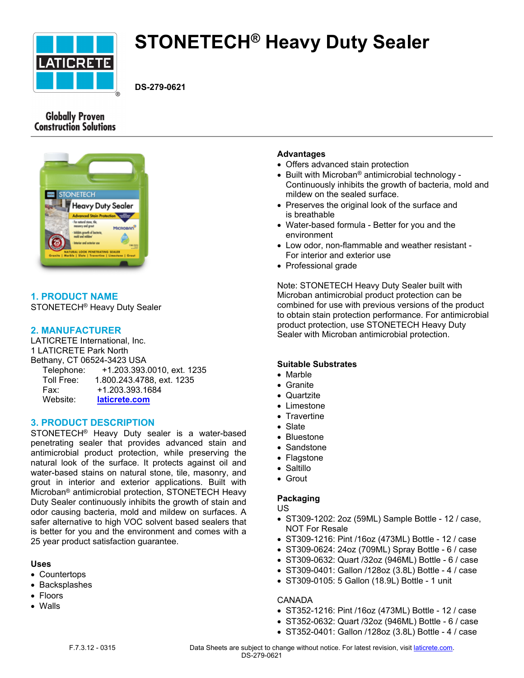

# **STONETECH® Heavy Duty Sealer**

**DS-279-0621**

# **Globally Proven Construction Solutions**



# **1. PRODUCT NAME**

STONETECH® Heavy Duty Sealer

# **2. MANUFACTURER**

LATICRETE International, Inc. 1 LATICRETE Park North Bethany, CT 06524-3423 USA Telephone: +1.203.393.0010, ext. 1235 Toll Free: 1.800.243.4788, ext. 1235 Fax: +1.203.393.1684 Website: **[laticrete.com](https://laticrete.com/)**

# **3. PRODUCT DESCRIPTION**

STONETECH® Heavy Duty sealer is a water-based penetrating sealer that provides advanced stain and antimicrobial product protection, while preserving the natural look of the surface. It protects against oil and water-based stains on natural stone, tile, masonry, and grout in interior and exterior applications. Built with Microban® antimicrobial protection, STONETECH Heavy Duty Sealer continuously inhibits the growth of stain and odor causing bacteria, mold and mildew on surfaces. A safer alternative to high VOC solvent based sealers that is better for you and the environment and comes with a 25 year product satisfaction guarantee.

#### **Uses**

- Countertops
- Backsplashes
- Floors
- Walls

# **Advantages**

- Offers advanced stain protection
- Built with Microban<sup>®</sup> antimicrobial technology -Continuously inhibits the growth of bacteria, mold and mildew on the sealed surface.
- Preserves the original look of the surface and is breathable
- Water-based formula Better for you and the environment
- Low odor, non-flammable and weather resistant For interior and exterior use
- Professional grade

Note: STONETECH Heavy Duty Sealer built with Microban antimicrobial product protection can be combined for use with previous versions of the product to obtain stain protection performance. For antimicrobial product protection, use STONETECH Heavy Duty Sealer with Microban antimicrobial protection.

# **Suitable Substrates**

- Marble
- Granite
- Quartzite
- Limestone
- **Travertine**
- Slate
- Bluestone
- Sandstone
- Flagstone
- Saltillo
- Grout

# **Packaging**

#### US

- ST309-1202: 2oz (59ML) Sample Bottle 12 / case, NOT For Resale
- ST309-1216: Pint /16oz (473ML) Bottle 12 / case
- ST309-0624: 24oz (709ML) Spray Bottle 6 / case
- ST309-0632: Quart /32oz (946ML) Bottle 6 / case
- ST309-0401: Gallon /128oz (3.8L) Bottle 4 / case
- ST309-0105: 5 Gallon (18.9L) Bottle 1 unit

#### CANADA

- ST352-1216: Pint /16oz (473ML) Bottle 12 / case
- ST352-0632: Quart /32oz (946ML) Bottle 6 / case
- ST352-0401: Gallon /128oz (3.8L) Bottle 4 / case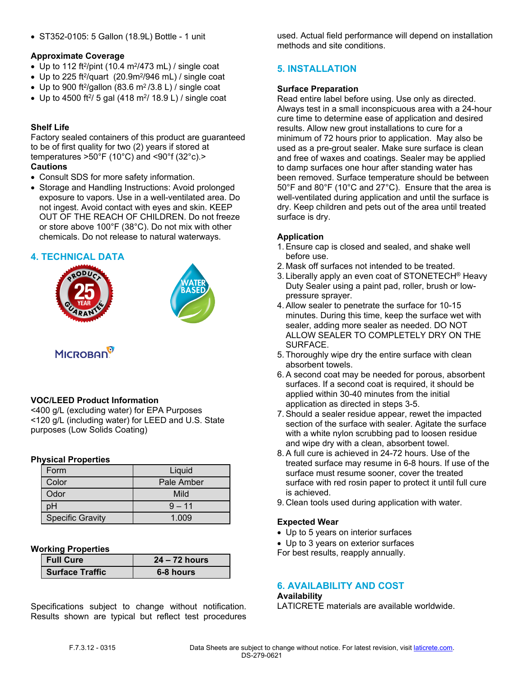ST352-0105: 5 Gallon (18.9L) Bottle - 1 unit

#### **Approximate Coverage**

- Up to 112 ft<sup>2</sup>/pint (10.4 m<sup>2</sup>/473 mL) / single coat
- Up to 225 ft<sup>2</sup>/quart  $(20.9m^2/946$  mL) / single coat
- Up to 900 ft<sup>2</sup>/gallon (83.6 m<sup>2</sup>/3.8 L) / single coat
- Up to 4500 ft<sup>2</sup>/ 5 gal (418 m<sup>2</sup>/ 18.9 L) / single coat

# **Shelf Life**

Factory sealed containers of this product are guaranteed to be of first quality for two (2) years if stored at temperatures >50°F (10°C) and <90°f (32°c).> **Cautions**

- Consult SDS for more safety information.
- Storage and Handling Instructions: Avoid prolonged exposure to vapors. Use in a well-ventilated area. Do not ingest. Avoid contact with eyes and skin. KEEP OUT OF THE REACH OF CHILDREN. Do not freeze or store above 100°F (38°C). Do not mix with other chemicals. Do not release to natural waterways.

# **4. TECHNICAL DATA**





# **MICROBAN**

# **VOC/LEED Product Information**

<400 g/L (excluding water) for EPA Purposes <120 g/L (including water) for LEED and U.S. State purposes (Low Solids Coating)

#### **Physical Properties**

| Form                    | Liquid     |
|-------------------------|------------|
| Color                   | Pale Amber |
| Odor                    | Mild       |
| ЭH                      | $9 - 11$   |
| <b>Specific Gravity</b> | 1.009      |

#### **Working Properties**

| <b>Full Cure</b>       | $24 - 72$ hours |
|------------------------|-----------------|
| <b>Surface Traffic</b> | 6-8 hours       |

Specifications subject to change without notification. Results shown are typical but reflect test procedures used. Actual field performance will depend on installation methods and site conditions.

# **5. INSTALLATION**

#### **Surface Preparation**

Read entire label before using. Use only as directed. Always test in a small inconspicuous area with a 24-hour cure time to determine ease of application and desired results. Allow new grout installations to cure for a minimum of 72 hours prior to application. May also be used as a pre-grout sealer. Make sure surface is clean and free of waxes and coatings. Sealer may be applied to damp surfaces one hour after standing water has been removed. Surface temperature should be between 50°F and 80°F (10°C and 27°C). Ensure that the area is well-ventilated during application and until the surface is dry. Keep children and pets out of the area until treated surface is dry.

# **Application**

- 1. Ensure cap is closed and sealed, and shake well before use.
- 2. Mask off surfaces not intended to be treated.
- 3. Liberally apply an even coat of STONETECH® Heavy Duty Sealer using a paint pad, roller, brush or lowpressure sprayer.
- 4. Allow sealer to penetrate the surface for 10-15 minutes. During this time, keep the surface wet with sealer, adding more sealer as needed. DO NOT ALLOW SEALER TO COMPLETELY DRY ON THE SURFACE.
- 5. Thoroughly wipe dry the entire surface with clean absorbent towels.
- 6. A second coat may be needed for porous, absorbent surfaces. If a second coat is required, it should be applied within 30-40 minutes from the initial application as directed in steps 3-5.
- 7. Should a sealer residue appear, rewet the impacted section of the surface with sealer. Agitate the surface with a white nylon scrubbing pad to loosen residue and wipe dry with a clean, absorbent towel.
- 8. A full cure is achieved in 24-72 hours. Use of the treated surface may resume in 6-8 hours. If use of the surface must resume sooner, cover the treated surface with red rosin paper to protect it until full cure is achieved.
- 9. Clean tools used during application with water.

#### **Expected Wear**

- Up to 5 years on interior surfaces
- Up to 3 years on exterior surfaces

For best results, reapply annually.

# **6. AVAILABILITY AND COST**

#### **Availability**

LATICRETE materials are available worldwide.